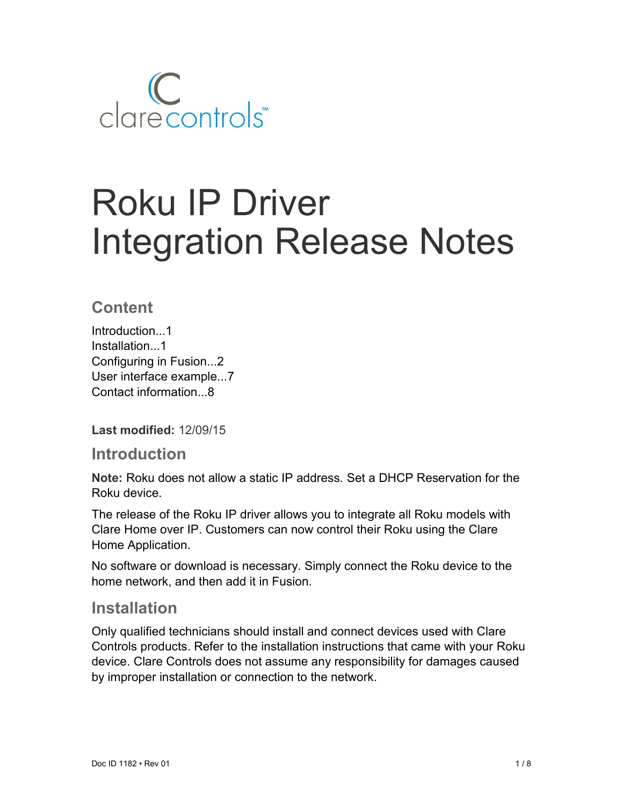

# Roku IP Driver Integration Release Notes

## **Content**

Introduction...1 Installation...1 Configuring in Fusion...2 User interface example...7 Contact information...8

**Last modified:** 12/09/15

### **Introduction**

**Note:** Roku does not allow a static IP address. Set a DHCP Reservation for the Roku device.

The release of the Roku IP driver allows you to integrate all Roku models with Clare Home over IP. Customers can now control their Roku using the Clare Home Application.

No software or download is necessary. Simply connect the Roku device to the home network, and then add it in Fusion.

## **Installation**

Only qualified technicians should install and connect devices used with Clare Controls products. Refer to the installation instructions that came with your Roku device. Clare Controls does not assume any responsibility for damages caused by improper installation or connection to the network.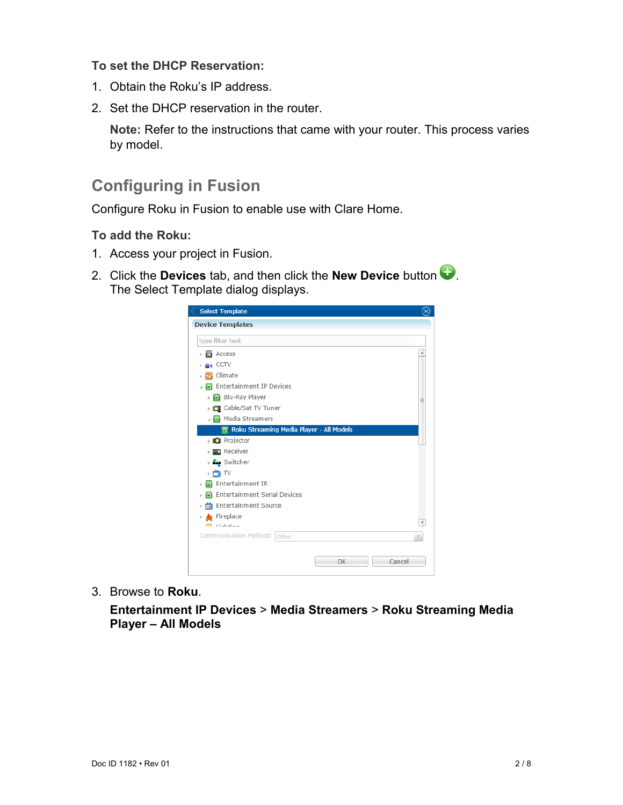#### **To set the DHCP Reservation:**

- 1. Obtain the Roku's IP address.
- 2. Set the DHCP reservation in the router.

**Note:** Refer to the instructions that came with your router. This process varies by model.

## **Configuring in Fusion**

Configure Roku in Fusion to enable use with Clare Home.

#### **To add the Roku:**

- 1. Access your project in Fusion.
- 2. Click the **Devices** tab, and then click the **New Device** button  $\bullet$ . The Select Template dialog displays.



3. Browse to **Roku**.

**Entertainment IP Devices** > **Media Streamers** > **Roku Streaming Media Player – All Models**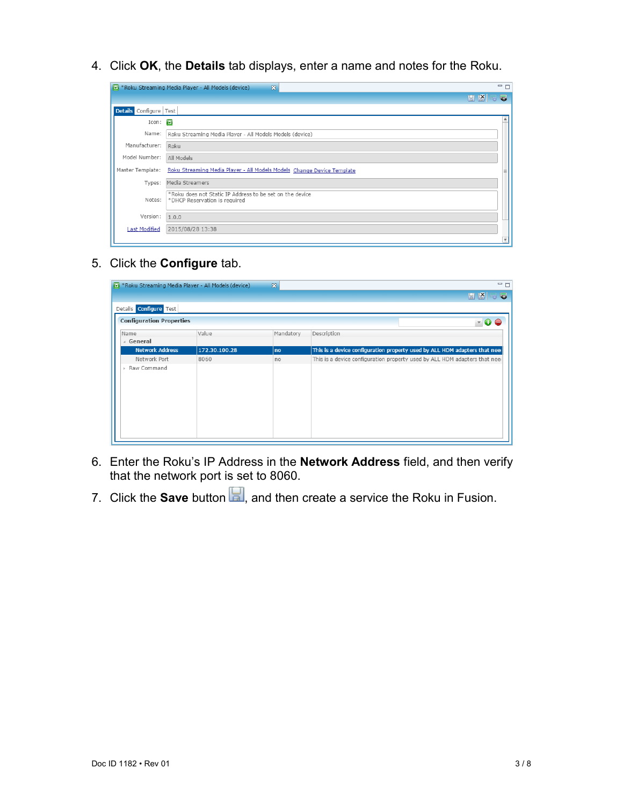4. Click **OK**, the **Details** tab displays, enter a name and notes for the Roku.

|                        | <b>E</b> *Roku Streaming Media Player - All Models (device)<br>$\boxtimes$                | $=$ $F$ |
|------------------------|-------------------------------------------------------------------------------------------|---------|
|                        | 圖 路                                                                                       | 5       |
| Details Configure Test |                                                                                           |         |
| Icon:                  |                                                                                           |         |
| Name:                  | Roku Streaming Media Player - All Models Models (device)                                  |         |
| Manufacturer:          | Roku                                                                                      |         |
| Model Number:          | All Models                                                                                |         |
|                        | Master Template: Roku Streaming Media Player - All Models Models Change Device Template   |         |
| Types:                 | Media Streamers                                                                           |         |
| Notes:                 | *Roku does not Static IP Address to be set on the device<br>*DHCP Reservation is required |         |
| Version:               | 1.0.0                                                                                     |         |
| <b>Last Modified</b>   | 2015/08/28 13:38                                                                          |         |
|                        |                                                                                           |         |

5. Click the **Configure** tab.

| <b>E</b> *Roku Streaming Media Player - All Models (device) |               | $\mathbb{Z}$ | $=$ $F$                                                                    |
|-------------------------------------------------------------|---------------|--------------|----------------------------------------------------------------------------|
|                                                             |               |              | 日图三<br>$\overline{\bullet}$                                                |
| Details Configure Test                                      |               |              |                                                                            |
| <b>Configuration Properties</b>                             |               |              | $\sqrt{a}$<br>$\triangle$                                                  |
| Name                                                        | Value         | Mandatory    | Description                                                                |
| ⊿ General                                                   |               |              |                                                                            |
| <b>Network Address</b>                                      | 172.30.100.28 | no           | This is a device configuration property used by ALL HDM adapters that nee  |
| Network Port                                                | 8060          | no           | This is a device configuration property used by ALL HDM adapters that need |
| Raw Command<br>b.                                           |               |              |                                                                            |

- 6. Enter the Roku's IP Address in the **Network Address** field, and then verify that the network port is set to 8060.
- 7. Click the **Save** button **R**, and then create a service the Roku in Fusion.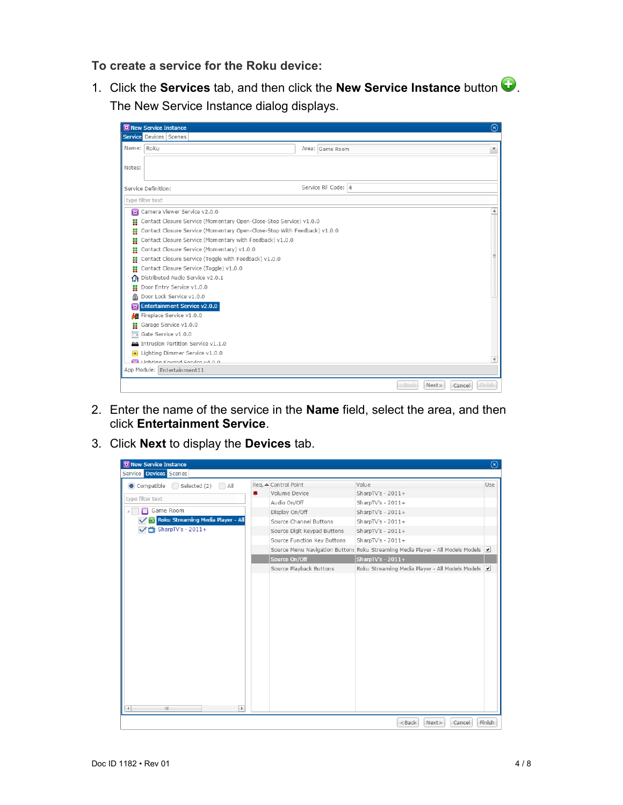**To create a service for the Roku device:** 

1. Click the **Services** tab, and then click the **New Service Instance** button . The New Service Instance dialog displays.

|            | <b>RE</b> New Service Instance                                           |                    |                  | $\circledR$            |
|------------|--------------------------------------------------------------------------|--------------------|------------------|------------------------|
|            | <b>Service</b> Devices Scenes                                            |                    |                  |                        |
| Name: Roku |                                                                          | Area: Game Room    |                  | $\overline{\mathbf v}$ |
|            |                                                                          |                    |                  |                        |
| Notes:     |                                                                          |                    |                  |                        |
|            |                                                                          |                    |                  |                        |
|            | Service Definition:                                                      | Service RF Code: 4 |                  |                        |
|            | type filter text                                                         |                    |                  |                        |
|            | Camera Viewer Service v2.0.0                                             |                    |                  | ▲                      |
|            | Contact Closure Service (Momentary Open-Close-Stop Service) v1.0.0       |                    |                  |                        |
| H          | Contact Closure Service (Momentary Open-Close-Stop With Feedback) v1.0.0 |                    |                  |                        |
| n          | Contact Closure Service (Momentary with Feedback) v1.0.0                 |                    |                  |                        |
| H          | Contact Closure Service (Momentary) v1.0.0                               |                    |                  |                        |
| H          | Contact Closure Service (Toggle with Feedback) v1.0.0                    |                    |                  |                        |
| H          | Contact Closure Service (Toggle) v1.0.0                                  |                    |                  |                        |
| Ω          | Distributed Audio Service v2.0.1                                         |                    |                  |                        |
| H          | Door Entry Service v1.0.0                                                |                    |                  |                        |
| க          | Door Lock Service v1.0.0                                                 |                    |                  |                        |
| 賽          | <b>Entertainment Service v2.0.0</b>                                      |                    |                  |                        |
| 細          | Fireplace Service v1.0.0                                                 |                    |                  |                        |
| H          | Garage Service v1.0.0                                                    |                    |                  |                        |
| Ħ.         | Gate Service v1.0.0                                                      |                    |                  |                        |
|            | AA Intrusion Partition Service v1.1.0                                    |                    |                  |                        |
|            | Lighting Dimmer Service v1.0.0                                           |                    |                  |                        |
|            | <b>Call Lighting Voyand Corvice v4 0 0</b>                               |                    |                  | $\overline{\mathbf v}$ |
|            | App Module: Entertainment11                                              |                    |                  |                        |
|            |                                                                          |                    | $<$ Back<br>Next | Finish<br>Cancel       |

- 2. Enter the name of the service in the **Name** field, select the area, and then click **Entertainment Service**.
- 3. Click **Next** to display the **Devices** tab.

| 宽 New Service Instance                                                                                                                     |                                                                                                   |                                                                                                                                                   | $^{\circledR}$ |
|--------------------------------------------------------------------------------------------------------------------------------------------|---------------------------------------------------------------------------------------------------|---------------------------------------------------------------------------------------------------------------------------------------------------|----------------|
| Service Devices Scenes                                                                                                                     |                                                                                                   |                                                                                                                                                   |                |
| $\bigcirc$ Selected (2) $\bigcirc$ All<br>Compatible<br>兼<br>type filter text<br>Game Room<br><b>The Roku Streaming Media Player - All</b> | Req. △ Control Point<br>Volume Device<br>Audio On/Off<br>Display On/Off<br>Source Channel Buttons | Value<br>SharpTV's - $2011+$<br>SharpTV's - $2011+$<br>SharpTV's - $2011+$<br>SharpTV's - $2011+$                                                 | Use            |
| SharpTV's - 2011+                                                                                                                          | Source Digit Keypad Buttons<br>Source Function Key Buttons<br>Source On/Off                       | SharpTV's - $2011+$<br>SharpTV's - $2011+$<br>Source Menu Navigation Buttons Roku Streaming Media Player - All Models Models<br>SharpTV's - 2011+ |                |
| Þ.<br><b>III</b> and the second<br>41                                                                                                      | Source Playback Buttons                                                                           | Roku Streaming Media Player - All Models Models                                                                                                   |                |
|                                                                                                                                            |                                                                                                   | Next><br>$<$ Back<br>Cancel                                                                                                                       | Finish         |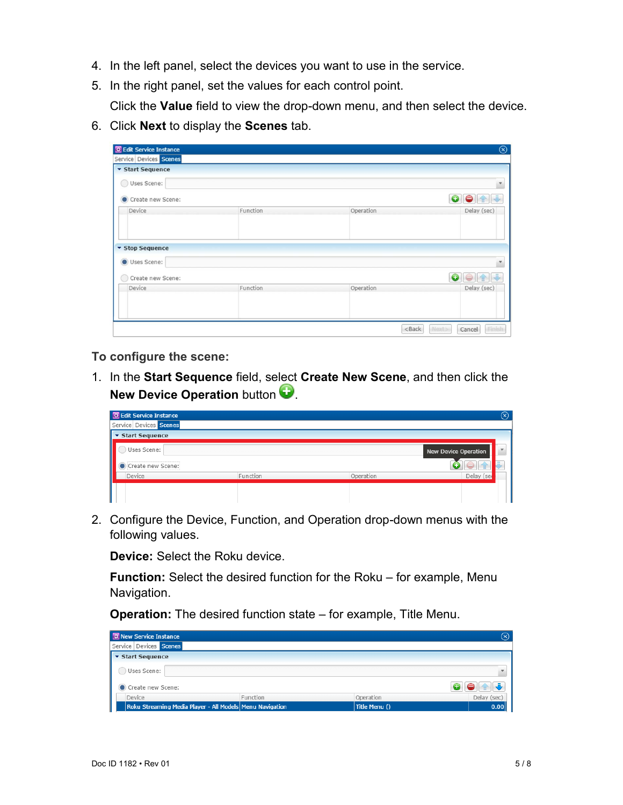- 4. In the left panel, select the devices you want to use in the service.
- 5. In the right panel, set the values for each control point.

Click the **Value** field to view the drop-down menu, and then select the device.

6. Click **Next** to display the **Scenes** tab.

| <b>RE</b> Edit Service Instance |          |           | $^{\circledR}$  |
|---------------------------------|----------|-----------|-----------------|
| Service Devices Scenes          |          |           |                 |
| ▼ Start Sequence                |          |           |                 |
| Uses Scene:                     |          |           |                 |
| Create new Scene:               |          |           | $\bullet$<br>⊝  |
| Device                          | Function | Operation | Delay (sec)     |
| <b>v</b> Stop Sequence          |          |           |                 |
| Uses Scene:                     |          |           | ×               |
|                                 |          |           |                 |
| Create new Scene:<br>O)         |          |           | 0<br>舎          |
| Device                          | Function | Operation | Delay (sec)     |
|                                 |          |           |                 |
|                                 |          |           |                 |
|                                 |          | $<$ Back  | Next><br>Cancel |

**To configure the scene:** 

1. In the **Start Sequence** field, select **Create New Scene**, and then click the **New Device Operation** button

| 图 Edit Service Instance |          |           | $(\mathsf{x})$              |
|-------------------------|----------|-----------|-----------------------------|
| Service Devices Scenes  |          |           |                             |
| ▼ Start Sequence        |          |           |                             |
| Uses Scene:             |          |           | <b>New Device Operation</b> |
| Create new Scene:       |          |           |                             |
| Device                  | Function | Operation | Delay (se                   |
|                         |          |           |                             |
|                         |          |           |                             |

2. Configure the Device, Function, and Operation drop-down menus with the following values.

**Device:** Select the Roku device.

**Function:** Select the desired function for the Roku – for example, Menu Navigation.

**Operation:** The desired function state – for example, Title Menu.

| <b>RE New Service Instance</b>                           |          |               | $\circledR$ |
|----------------------------------------------------------|----------|---------------|-------------|
| Service Devices Scenes                                   |          |               |             |
| ▼ Start Sequence                                         |          |               |             |
| Uses Scene:                                              |          |               |             |
| Create new Scene:                                        |          |               |             |
| Device                                                   | Function | Operation     | Delay (sec) |
| Roku Streaming Media Player - All Models Menu Navigation |          | Title Menu () | 0.00        |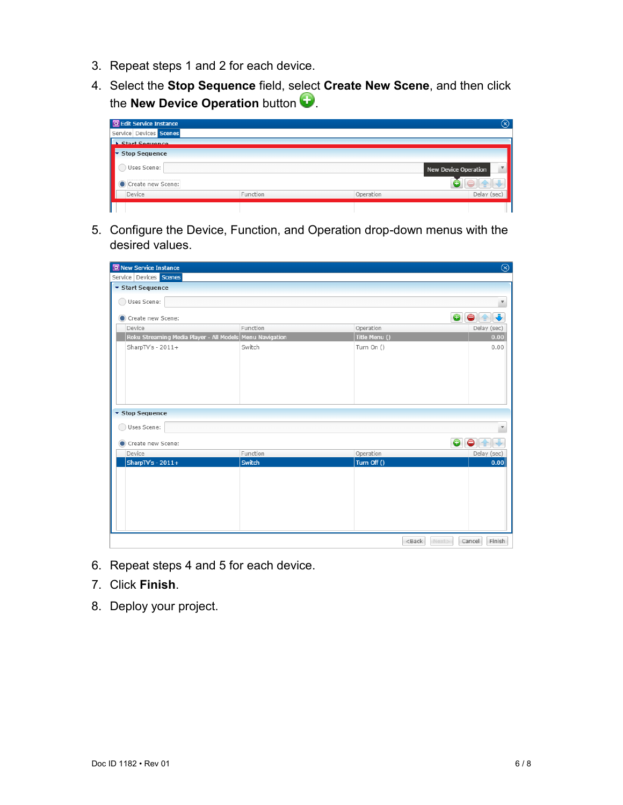- 3. Repeat steps 1 and 2 for each device.
- 4. Select the **Stop Sequence** field, select **Create New Scene**, and then click the **New Device Operation** button

| <b>BE</b> Edit Service Instance |          |           | $\circledast$                                            |
|---------------------------------|----------|-----------|----------------------------------------------------------|
| Service Devices Scenes          |          |           |                                                          |
| <b>Start Sequence</b>           |          |           |                                                          |
| <b>Stop Sequence</b><br>lv.     |          |           |                                                          |
| Uses Scene:                     |          |           | $\boldsymbol{\mathrm{v}}$<br><b>New Device Operation</b> |
| Create new Scene:               |          |           |                                                          |
| Device                          | Function | Operation | Delay (sec)                                              |
|                                 |          |           |                                                          |

5. Configure the Device, Function, and Operation drop-down menus with the desired values.

| $\circledR$<br><b>R</b> New Service Instance             |          |                   |                         |  |  |
|----------------------------------------------------------|----------|-------------------|-------------------------|--|--|
| Service Devices Scenes                                   |          |                   |                         |  |  |
| ▼ Start Sequence                                         |          |                   |                         |  |  |
| Uses Scene:<br>$( \ )$                                   |          |                   | $\overline{\mathbf{v}}$ |  |  |
| Create new Scene:                                        |          |                   | $\bullet\bullet$        |  |  |
| Device                                                   | Function | Operation         | Delay (sec)             |  |  |
| Roku Streaming Media Player - All Models Menu Navigation |          | Title Menu ()     | 0.00                    |  |  |
| SharpTV's - $2011+$                                      | Switch   | Turn On ()        | 0.00                    |  |  |
| ▼ Stop Sequence                                          |          |                   |                         |  |  |
| Uses Scene:<br>$( \ )$                                   |          |                   |                         |  |  |
| Create new Scene:                                        |          |                   | $\bullet\bullet$        |  |  |
| Device                                                   | Function | Operation         | Delay (sec)             |  |  |
| SharpTV's - $2011+$                                      | Switch   | Turn Off ()       | 0.00                    |  |  |
|                                                          |          | $<$ Back<br>Next> | Finish<br>Cancel        |  |  |

- 6. Repeat steps 4 and 5 for each device.
- 7. Click **Finish**.
- 8. Deploy your project.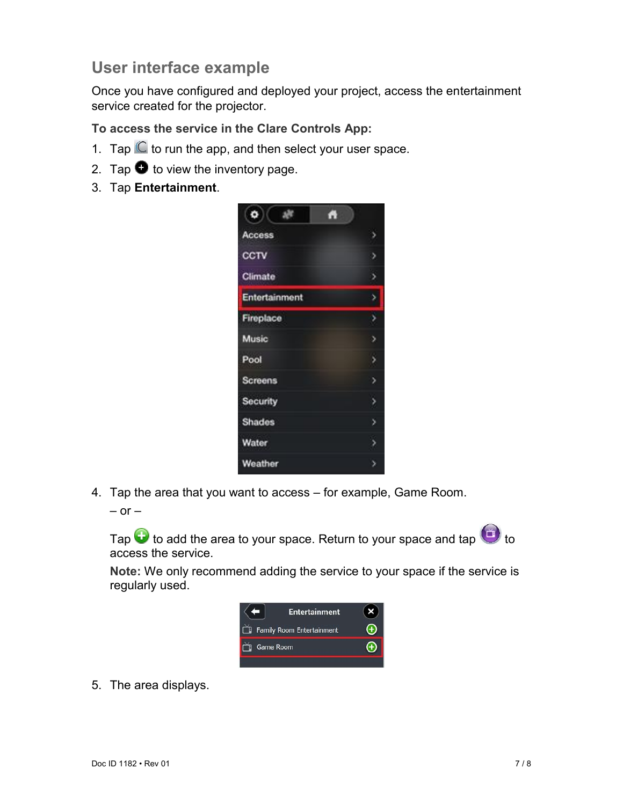# **User interface example**

Once you have configured and deployed your project, access the entertainment service created for the projector.

**To access the service in the Clare Controls App:** 

- 1. Tap  $\mathbb C$  to run the app, and then select your user space.
- 2. Tap  $\bullet$  to view the inventory page.
- 3. Tap **Entertainment**.



4. Tap the area that you want to access – for example, Game Room.

 $-$  or  $-$ 

Tap  $\bigodot$  to add the area to your space. Return to your space and tap  $\bigodot$  to access the service.

**Note:** We only recommend adding the service to your space if the service is regularly used.



5. The area displays.